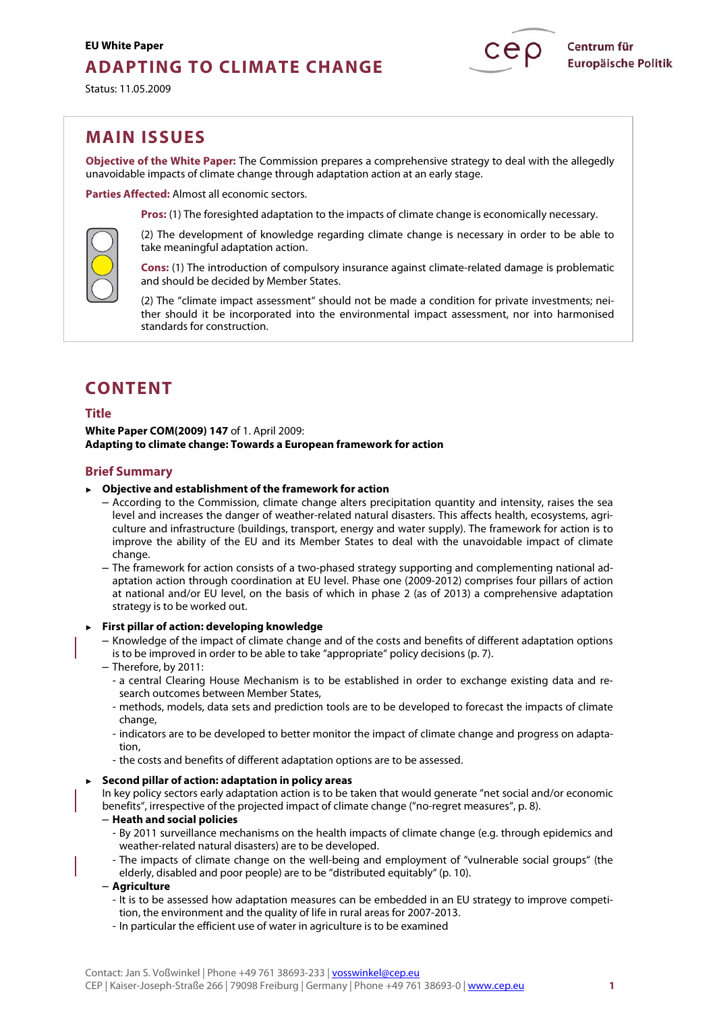# **EU White Paper ADAPTING TO CLIMATE CHANGE**

Status: 11.05.2009

## **MAIN ISSUES**

**Objective of the White Paper:** The Commission prepares a comprehensive strategy to deal with the allegedly unavoidable impacts of climate change through adaptation action at an early stage.

**Parties Affected:** Almost all economic sectors.

**Pros:** (1) The foresighted adaptation to the impacts of climate change is economically necessary.

(2) The development of knowledge regarding climate change is necessary in order to be able to take meaningful adaptation action.

**Cons:** (1) The introduction of compulsory insurance against climate-related damage is problematic and should be decided by Member States.

(2) The "climate impact assessment" should not be made a condition for private investments; neither should it be incorporated into the environmental impact assessment, nor into harmonised standards for construction.

# **CONTENT**

## **Title**

**White Paper COM(2009) 147** of 1. April 2009: **Adapting to climate change: Towards a European framework for action**

## **Brief Summary**

#### ► **Objective and establishment of the framework for action**

– According to the Commission, climate change alters precipitation quantity and intensity, raises the sea level and increases the danger of weather-related natural disasters. This affects health, ecosystems, agriculture and infrastructure (buildings, transport, energy and water supply). The framework for action is to improve the ability of the EU and its Member States to deal with the unavoidable impact of climate change.

– The framework for action consists of a two-phased strategy supporting and complementing national adaptation action through coordination at EU level. Phase one (2009-2012) comprises four pillars of action at national and/or EU level, on the basis of which in phase 2 (as of 2013) a comprehensive adaptation strategy is to be worked out.

► **First pillar of action: developing knowledge**

- Knowledge of the impact of climate change and of the costs and benefits of different adaptation options is to be improved in order to be able to take "appropriate" policy decisions (p. 7).
- Therefore, by 2011:
	- a central Clearing House Mechanism is to be established in order to exchange existing data and research outcomes between Member States,
	- methods, models, data sets and prediction tools are to be developed to forecast the impacts of climate change,
	- indicators are to be developed to better monitor the impact of climate change and progress on adaptation,
	- the costs and benefits of different adaptation options are to be assessed.

#### ► **Second pillar of action: adaptation in policy areas**

In key policy sectors early adaptation action is to be taken that would generate "net social and/or economic benefits", irrespective of the projected impact of climate change ("no-regret measures", p. 8).

#### – **Heath and social policies**

- By 2011 surveillance mechanisms on the health impacts of climate change (e.g. through epidemics and weather-related natural disasters) are to be developed.
- The impacts of climate change on the well-being and employment of "vulnerable social groups" (the elderly, disabled and poor people) are to be "distributed equitably" (p. 10).

#### – **Agriculture**

- It is to be assessed how adaptation measures can be embedded in an EU strategy to improve competition, the environment and the quality of life in rural areas for 2007-2013.
- In particular the efficient use of water in agriculture is to be examined

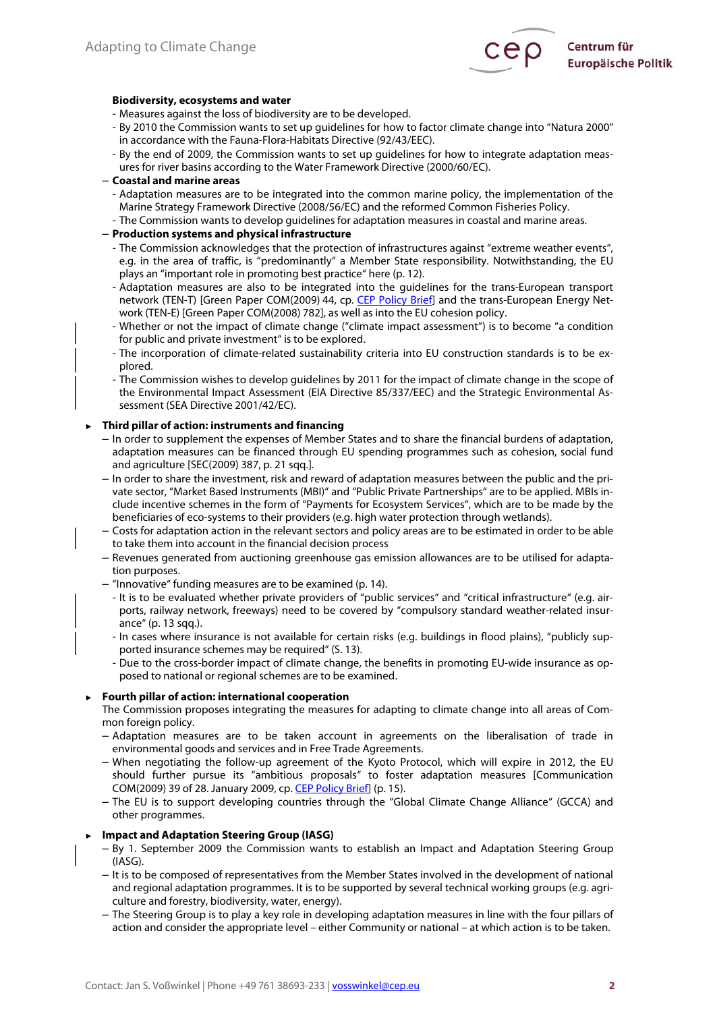

#### **Biodiversity, ecosystems and water**

- Measures against the loss of biodiversity are to be developed.
- By 2010 the Commission wants to set up guidelines for how to factor climate change into "Natura 2000" in accordance with the Fauna-Flora-Habitats Directive (92/43/EEC).
- By the end of 2009, the Commission wants to set up guidelines for how to integrate adaptation measures for river basins according to the Water Framework Directive (2000/60/EC).
- **Coastal and marine areas** 
	- Adaptation measures are to be integrated into the common marine policy, the implementation of the Marine Strategy Framework Directive (2008/56/EC) and the reformed Common Fisheries Policy.
	- The Commission wants to develop guidelines for adaptation measures in coastal and marine areas.

### – **Production systems and physical infrastructure**

- The Commission acknowledges that the protection of infrastructures against "extreme weather events", e.g. in the area of traffic, is "predominantly" a Member State responsibility. Notwithstanding, the EU plays an "important role in promoting best practice" here (p. 12).
- Adaptation measures are also to be integrated into the guidelines for the trans-European transport network (TEN-T) [Green Paper COM(2009) 44, cp. [CEP Policy Brief\]](http://www.cep.eu/en/analyses-of-eu-policy/transport/transeuropean-network/) and the trans-European Energy Network (TEN-E) [Green Paper COM(2008) 782], as well as into the EU cohesion policy.
- Whether or not the impact of climate change ("climate impact assessment") is to become "a condition for public and private investment" is to be explored.
- The incorporation of climate-related sustainability criteria into EU construction standards is to be explored.
- The Commission wishes to develop guidelines by 2011 for the impact of climate change in the scope of the Environmental Impact Assessment (EIA Directive 85/337/EEC) and the Strategic Environmental Assessment (SEA Directive 2001/42/EC).

## **► Third pillar of action: instruments and financing**

- In order to supplement the expenses of Member States and to share the financial burdens of adaptation, adaptation measures can be financed through EU spending programmes such as cohesion, social fund and agriculture [SEC(2009) 387, p. 21 sqq.].
- In order to share the investment, risk and reward of adaptation measures between the public and the private sector, "Market Based Instruments (MBI)" and "Public Private Partnerships" are to be applied. MBIs include incentive schemes in the form of "Payments for Ecosystem Services", which are to be made by the beneficiaries of eco-systems to their providers (e.g. high water protection through wetlands).
- Costs for adaptation action in the relevant sectors and policy areas are to be estimated in order to be able to take them into account in the financial decision process
- Revenues generated from auctioning greenhouse gas emission allowances are to be utilised for adaptation purposes.
- "Innovative" funding measures are to be examined (p. 14).
	- It is to be evaluated whether private providers of "public services" and "critical infrastructure" (e.g. airports, railway network, freeways) need to be covered by "compulsory standard weather-related insurance" (p. 13 sqq.).
	- In cases where insurance is not available for certain risks (e.g. buildings in flood plains), "publicly supported insurance schemes may be required" (S. 13).
	- Due to the cross-border impact of climate change, the benefits in promoting EU-wide insurance as opposed to national or regional schemes are to be examined.

#### **► Fourth pillar of action: international cooperation**

The Commission proposes integrating the measures for adapting to climate change into all areas of Common foreign policy.

- Adaptation measures are to be taken account in agreements on the liberalisation of trade in environmental goods and services and in Free Trade Agreements.
- When negotiating the follow-up agreement of the Kyoto Protocol, which will expire in 2012, the EU should further pursue its "ambitious proposals" to foster adaptation measures [Communication COM(2009) 39 of 28. January 2009, cp. [CEP Policy Brief](http://www.cep.eu/en/analyses-of-eu-policy/environment/climate-change-agreement/)] (p. 15).
- The EU is to support developing countries through the "Global Climate Change Alliance" (GCCA) and other programmes.

## **► Impact and Adaptation Steering Group (IASG)**

- By 1. September 2009 the Commission wants to establish an Impact and Adaptation Steering Group (IASG).
- It is to be composed of representatives from the Member States involved in the development of national and regional adaptation programmes. It is to be supported by several technical working groups (e.g. agriculture and forestry, biodiversity, water, energy).
- The Steering Group is to play a key role in developing adaptation measures in line with the four pillars of action and consider the appropriate level – either Community or national – at which action is to be taken.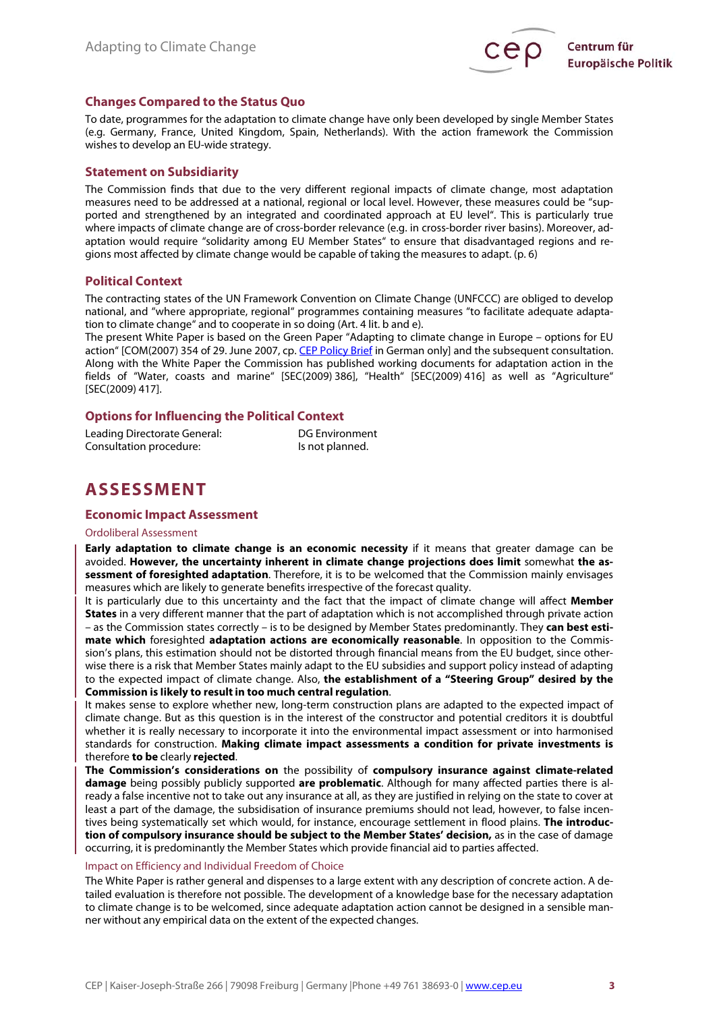

## **Changes Compared to the Status Quo**

To date, programmes for the adaptation to climate change have only been developed by single Member States (e.g. Germany, France, United Kingdom, Spain, Netherlands). With the action framework the Commission wishes to develop an EU-wide strategy.

## **Statement on Subsidiarity**

The Commission finds that due to the very different regional impacts of climate change, most adaptation measures need to be addressed at a national, regional or local level. However, these measures could be "supported and strengthened by an integrated and coordinated approach at EU level". This is particularly true where impacts of climate change are of cross-border relevance (e.g. in cross-border river basins). Moreover, adaptation would require "solidarity among EU Member States" to ensure that disadvantaged regions and regions most affected by climate change would be capable of taking the measures to adapt. (p. 6)

## **Political Context**

The contracting states of the UN Framework Convention on Climate Change (UNFCCC) are obliged to develop national, and "where appropriate, regional" programmes containing measures "to facilitate adequate adaptation to climate change" and to cooperate in so doing (Art. 4 lit. b and e).

The present White Paper is based on the Green Paper "Adapting to climate change in Europe – options for EU action" [COM(2007) 354 of 29. June 2007, cp. [CEP Policy Brief](http://www.cep.eu/analysen-zur-eu-politik/umwelt/themenseite-eu-gruenbuch-zur-anpassung-an-den-klimawandel/) in German only] and the subsequent consultation. Along with the White Paper the Commission has published working documents for adaptation action in the fields of "Water, coasts and marine" [SEC(2009) 386], "Health" [SEC(2009) 416] as well as "Agriculture" [SEC(2009) 417].

## **Options for Influencing the Political Context**

| Leading Directorate General: | DG Environment  |
|------------------------------|-----------------|
| Consultation procedure:      | Is not planned. |

## **ASSESSMENT**

## **Economic Impact Assessment**

#### Ordoliberal Assessment

**Early adaptation to climate change is an economic necessity** if it means that greater damage can be avoided. **However, the uncertainty inherent in climate change projections does limit** somewhat **the assessment of foresighted adaptation**. Therefore, it is to be welcomed that the Commission mainly envisages measures which are likely to generate benefits irrespective of the forecast quality.

It is particularly due to this uncertainty and the fact that the impact of climate change will affect **Member States** in a very different manner that the part of adaptation which is not accomplished through private action – as the Commission states correctly – is to be designed by Member States predominantly. They **can best estimate which** foresighted **adaptation actions are economically reasonable**. In opposition to the Commission's plans, this estimation should not be distorted through financial means from the EU budget, since otherwise there is a risk that Member States mainly adapt to the EU subsidies and support policy instead of adapting to the expected impact of climate change. Also, **the establishment of a "Steering Group" desired by the Commission is Iikely to result in too much central regulation**.

It makes sense to explore whether new, long-term construction plans are adapted to the expected impact of climate change. But as this question is in the interest of the constructor and potential creditors it is doubtful whether it is really necessary to incorporate it into the environmental impact assessment or into harmonised standards for construction. **Making climate impact assessments a condition for private investments is** therefore **to be** clearly **rejected**.

**The Commission's considerations on** the possibility of **compulsory insurance against climate-related damage** being possibly publicly supported **are problematic**. Although for many affected parties there is already a false incentive not to take out any insurance at all, as they are justified in relying on the state to cover at least a part of the damage, the subsidisation of insurance premiums should not lead, however, to false incentives being systematically set which would, for instance, encourage settlement in flood plains. **The introduction of compulsory insurance should be subject to the Member States' decision,** as in the case of damage occurring, it is predominantly the Member States which provide financial aid to parties affected.

#### Impact on Efficiency and Individual Freedom of Choice

The White Paper is rather general and dispenses to a large extent with any description of concrete action. A detailed evaluation is therefore not possible. The development of a knowledge base for the necessary adaptation to climate change is to be welcomed, since adequate adaptation action cannot be designed in a sensible manner without any empirical data on the extent of the expected changes.